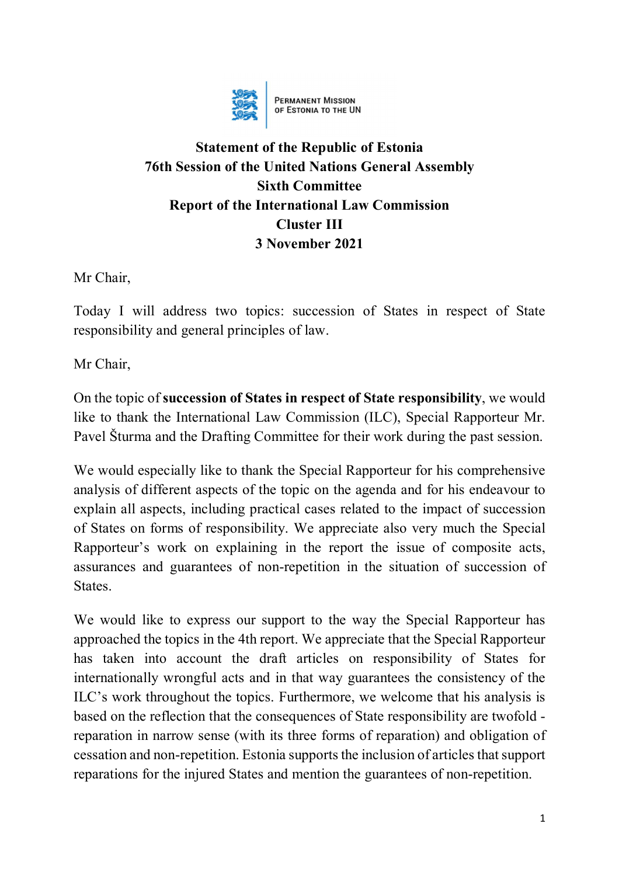

**PERMANENT MISSION**<br>OF ESTONIA TO THE UN

## **Statement of the Republic of Estonia 76th Session of the United Nations General Assembly Sixth Committee Report of the International Law Commission Cluster III 3 November 2021**

Mr Chair,

Today I will address two topics: succession of States in respect of State responsibility and general principles of law.

Mr Chair,

On the topic of **succession of States in respect of State responsibility**, we would like to thank the International Law Commission (ILC), Special Rapporteur Mr. Pavel Šturma and the Drafting Committee for their work during the past session.

We would especially like to thank the Special Rapporteur for his comprehensive analysis of different aspects of the topic on the agenda and for his endeavour to explain all aspects, including practical cases related to the impact of succession of States on forms of responsibility. We appreciate also very much the Special Rapporteur's work on explaining in the report the issue of composite acts, assurances and guarantees of non-repetition in the situation of succession of States.

We would like to express our support to the way the Special Rapporteur has approached the topics in the 4th report. We appreciate that the Special Rapporteur has taken into account the draft articles on responsibility of States for internationally wrongful acts and in that way guarantees the consistency of the ILC's work throughout the topics. Furthermore, we welcome that his analysis is based on the reflection that the consequences of State responsibility are twofold reparation in narrow sense (with its three forms of reparation) and obligation of cessation and non-repetition. Estonia supports the inclusion of articles that support reparations for the injured States and mention the guarantees of non-repetition.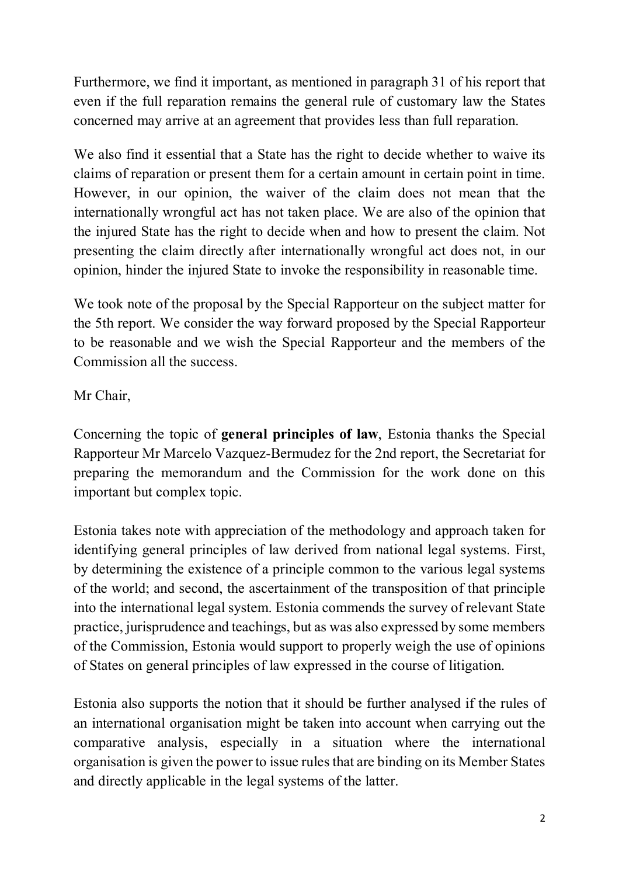Furthermore, we find it important, as mentioned in paragraph 31 of his report that even if the full reparation remains the general rule of customary law the States concerned may arrive at an agreement that provides less than full reparation.

We also find it essential that a State has the right to decide whether to waive its claims of reparation or present them for a certain amount in certain point in time. However, in our opinion, the waiver of the claim does not mean that the internationally wrongful act has not taken place. We are also of the opinion that the injured State has the right to decide when and how to present the claim. Not presenting the claim directly after internationally wrongful act does not, in our opinion, hinder the injured State to invoke the responsibility in reasonable time.

We took note of the proposal by the Special Rapporteur on the subject matter for the 5th report. We consider the way forward proposed by the Special Rapporteur to be reasonable and we wish the Special Rapporteur and the members of the Commission all the success.

Mr Chair,

Concerning the topic of **general principles of law**, Estonia thanks the Special Rapporteur Mr Marcelo Vazquez-Bermudez for the 2nd report, the Secretariat for preparing the memorandum and the Commission for the work done on this important but complex topic.

Estonia takes note with appreciation of the methodology and approach taken for identifying general principles of law derived from national legal systems. First, by determining the existence of a principle common to the various legal systems of the world; and second, the ascertainment of the transposition of that principle into the international legal system. Estonia commends the survey of relevant State practice, jurisprudence and teachings, but as was also expressed by some members of the Commission, Estonia would support to properly weigh the use of opinions of States on general principles of law expressed in the course of litigation.

Estonia also supports the notion that it should be further analysed if the rules of an international organisation might be taken into account when carrying out the comparative analysis, especially in a situation where the international organisation is given the power to issue rules that are binding on its Member States and directly applicable in the legal systems of the latter.